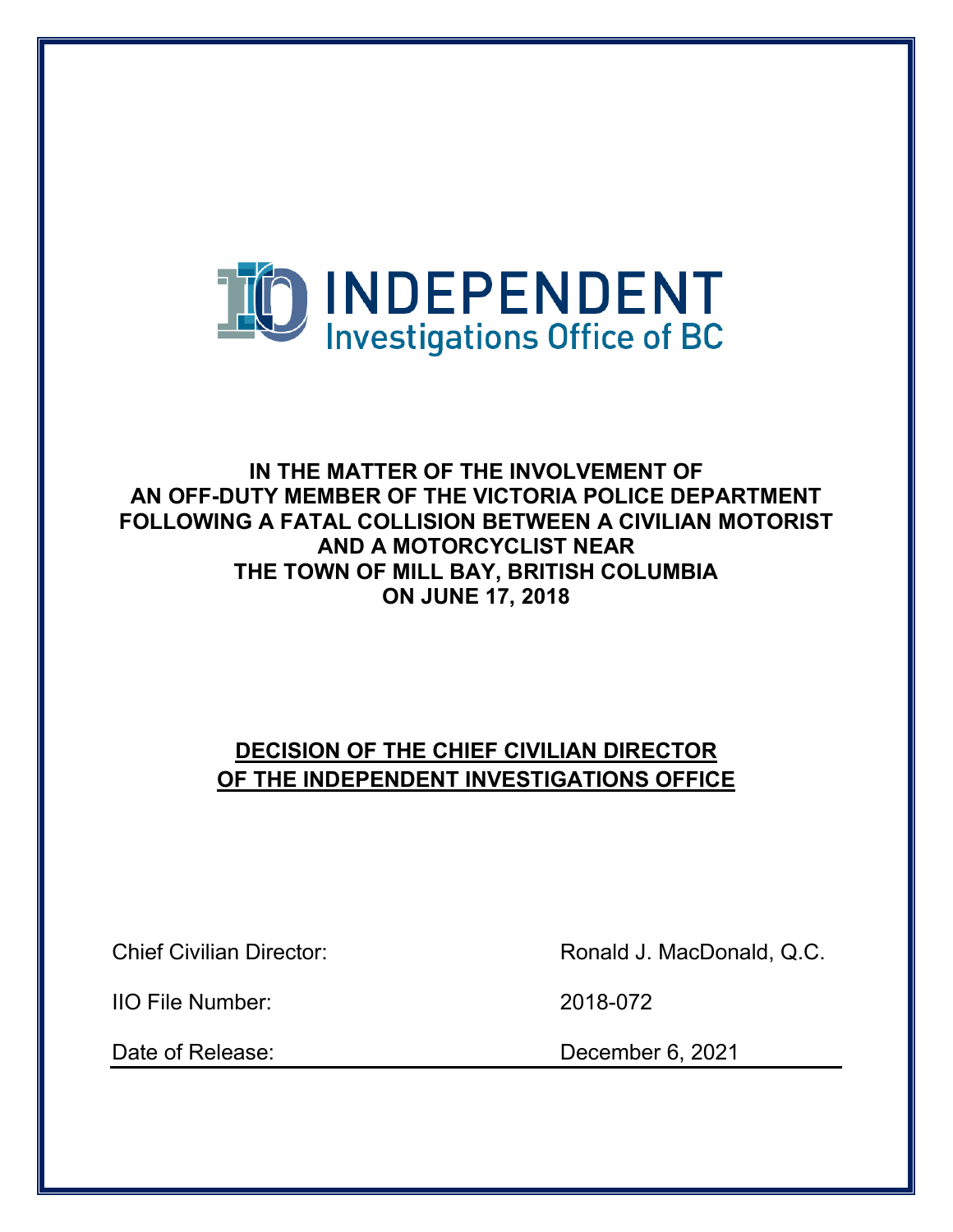

#### **IN THE MATTER OF THE INVOLVEMENT OF AN OFF-DUTY MEMBER OF THE VICTORIA POLICE DEPARTMENT FOLLOWING A FATAL COLLISION BETWEEN A CIVILIAN MOTORIST AND A MOTORCYCLIST NEAR THE TOWN OF MILL BAY, BRITISH COLUMBIA ON JUNE 17, 2018**

# **DECISION OF THE CHIEF CIVILIAN DIRECTOR OF THE INDEPENDENT INVESTIGATIONS OFFICE**

IIO File Number: 2018-072

Chief Civilian Director: Ronald J. MacDonald, Q.C.

Date of Release: December 6, 2021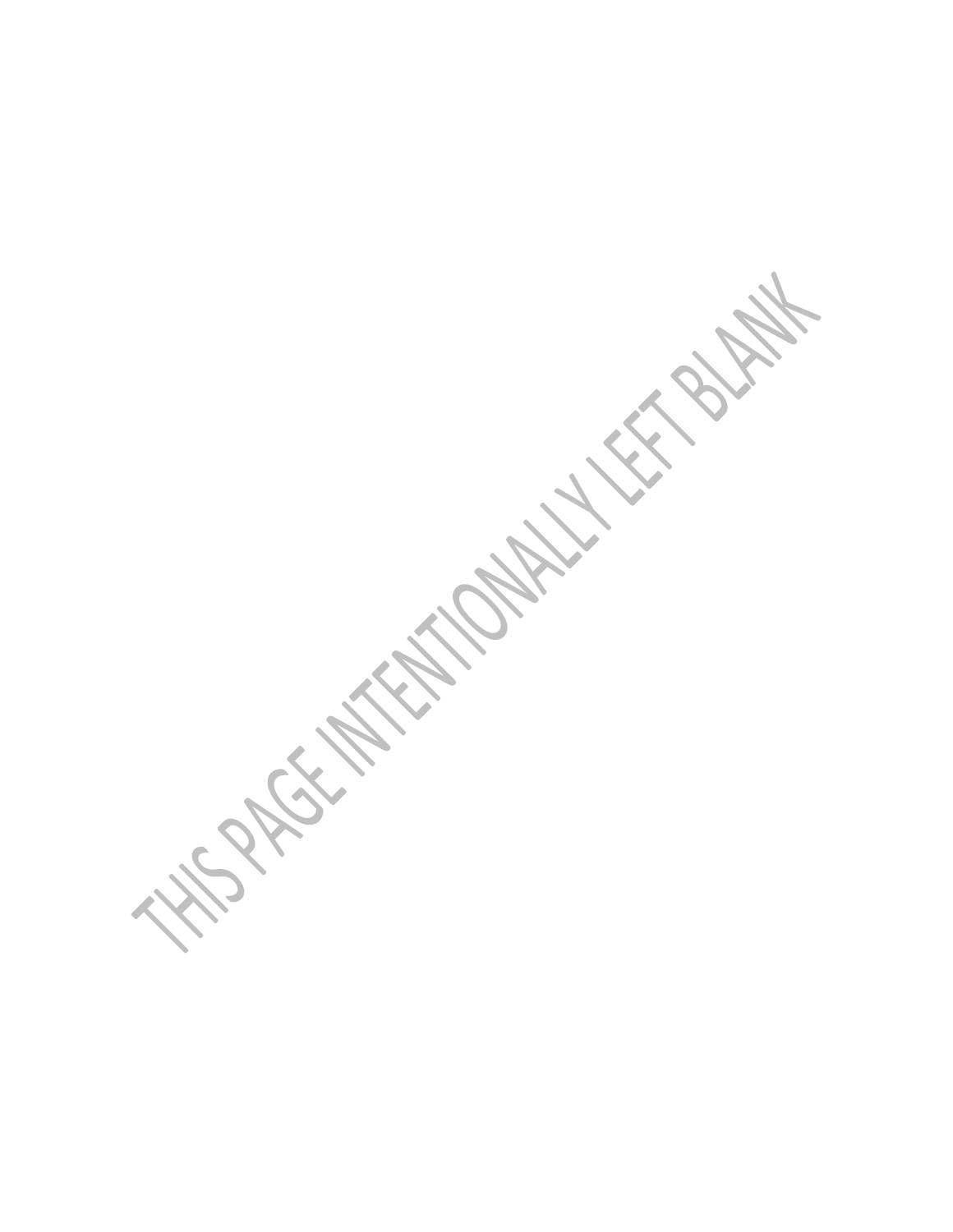Hispaniship Milleton River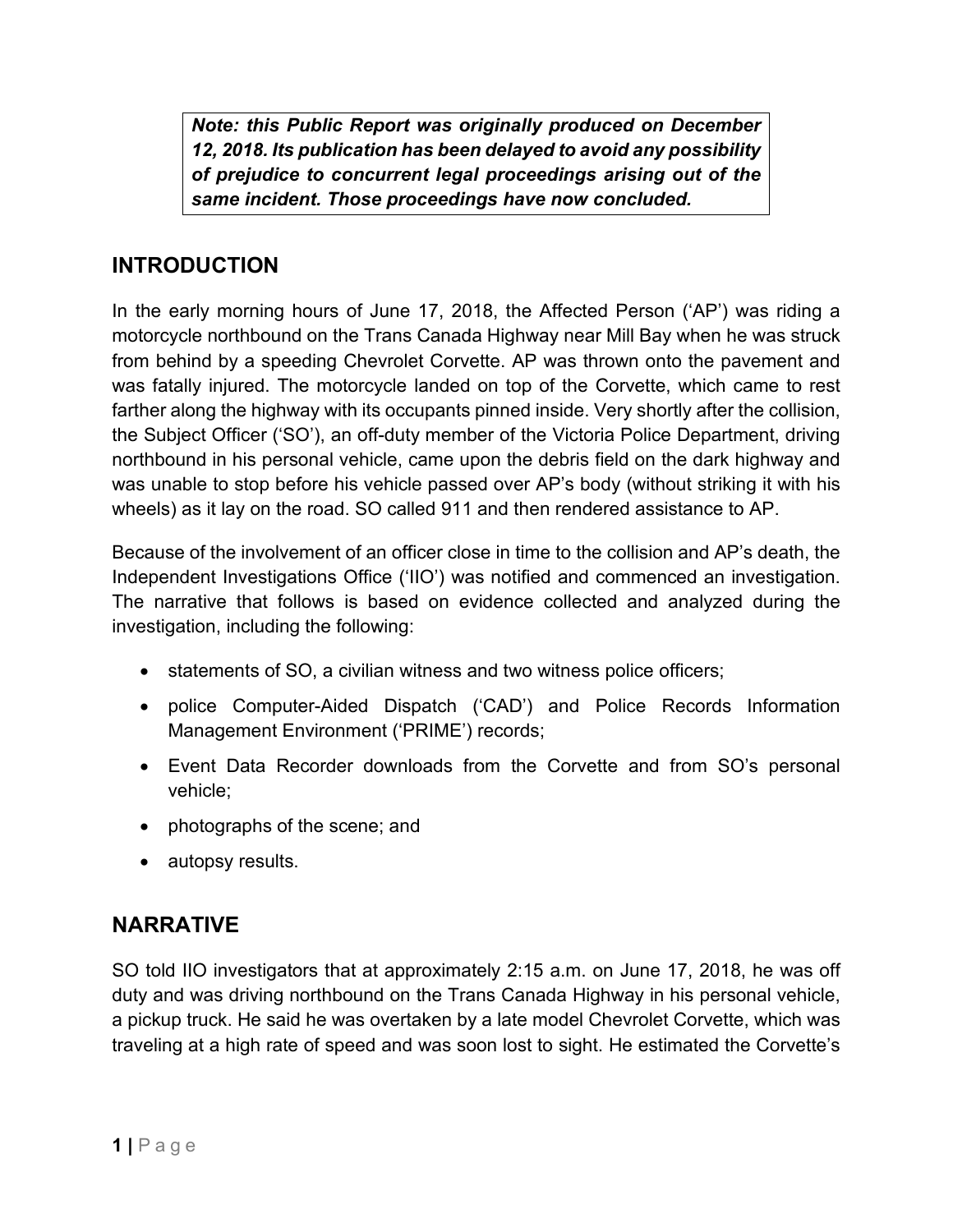*Note: this Public Report was originally produced on December 12, 2018. Its publication has been delayed to avoid any possibility of prejudice to concurrent legal proceedings arising out of the same incident. Those proceedings have now concluded.* 

#### **INTRODUCTION**

In the early morning hours of June 17, 2018, the Affected Person ('AP') was riding a motorcycle northbound on the Trans Canada Highway near Mill Bay when he was struck from behind by a speeding Chevrolet Corvette. AP was thrown onto the pavement and was fatally injured. The motorcycle landed on top of the Corvette, which came to rest farther along the highway with its occupants pinned inside. Very shortly after the collision, the Subject Officer ('SO'), an off-duty member of the Victoria Police Department, driving northbound in his personal vehicle, came upon the debris field on the dark highway and was unable to stop before his vehicle passed over AP's body (without striking it with his wheels) as it lay on the road. SO called 911 and then rendered assistance to AP.

Because of the involvement of an officer close in time to the collision and AP's death, the Independent Investigations Office ('IIO') was notified and commenced an investigation. The narrative that follows is based on evidence collected and analyzed during the investigation, including the following:

- statements of SO, a civilian witness and two witness police officers;
- police Computer-Aided Dispatch ('CAD') and Police Records Information Management Environment ('PRIME') records;
- Event Data Recorder downloads from the Corvette and from SO's personal vehicle;
- photographs of the scene; and
- autopsy results.

### **NARRATIVE**

SO told IIO investigators that at approximately 2:15 a.m. on June 17, 2018, he was off duty and was driving northbound on the Trans Canada Highway in his personal vehicle, a pickup truck. He said he was overtaken by a late model Chevrolet Corvette, which was traveling at a high rate of speed and was soon lost to sight. He estimated the Corvette's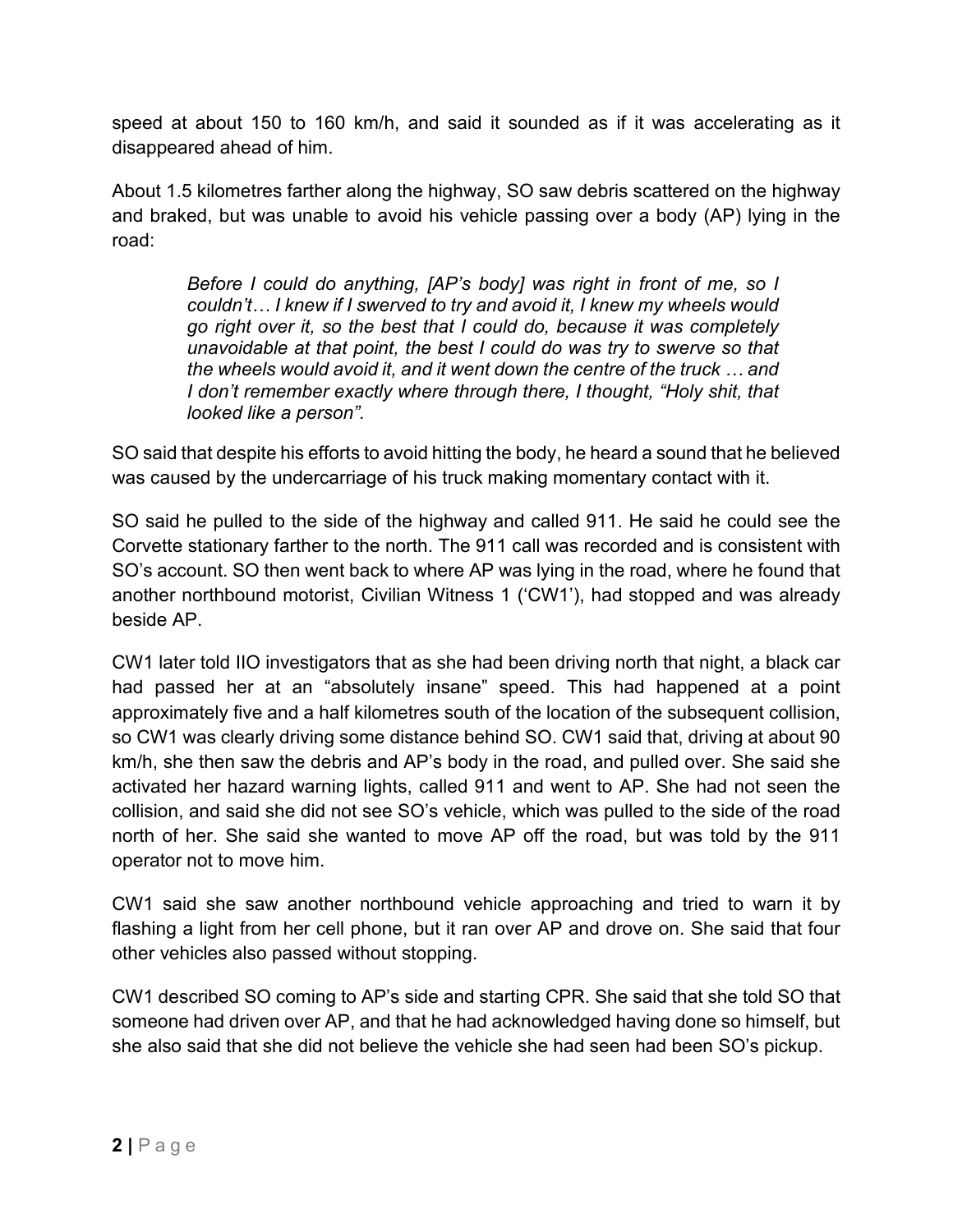speed at about 150 to 160 km/h, and said it sounded as if it was accelerating as it disappeared ahead of him.

About 1.5 kilometres farther along the highway, SO saw debris scattered on the highway and braked, but was unable to avoid his vehicle passing over a body (AP) lying in the road:

> *Before I could do anything, [AP's body] was right in front of me, so I couldn't… I knew if I swerved to try and avoid it, I knew my wheels would go right over it, so the best that I could do, because it was completely unavoidable at that point, the best I could do was try to swerve so that the wheels would avoid it, and it went down the centre of the truck … and I don't remember exactly where through there, I thought, "Holy shit, that looked like a person".*

SO said that despite his efforts to avoid hitting the body, he heard a sound that he believed was caused by the undercarriage of his truck making momentary contact with it.

SO said he pulled to the side of the highway and called 911. He said he could see the Corvette stationary farther to the north. The 911 call was recorded and is consistent with SO's account. SO then went back to where AP was lying in the road, where he found that another northbound motorist, Civilian Witness 1 ('CW1'), had stopped and was already beside AP.

CW1 later told IIO investigators that as she had been driving north that night, a black car had passed her at an "absolutely insane" speed. This had happened at a point approximately five and a half kilometres south of the location of the subsequent collision, so CW1 was clearly driving some distance behind SO. CW1 said that, driving at about 90 km/h, she then saw the debris and AP's body in the road, and pulled over. She said she activated her hazard warning lights, called 911 and went to AP. She had not seen the collision, and said she did not see SO's vehicle, which was pulled to the side of the road north of her. She said she wanted to move AP off the road, but was told by the 911 operator not to move him.

CW1 said she saw another northbound vehicle approaching and tried to warn it by flashing a light from her cell phone, but it ran over AP and drove on. She said that four other vehicles also passed without stopping.

CW1 described SO coming to AP's side and starting CPR. She said that she told SO that someone had driven over AP, and that he had acknowledged having done so himself, but she also said that she did not believe the vehicle she had seen had been SO's pickup.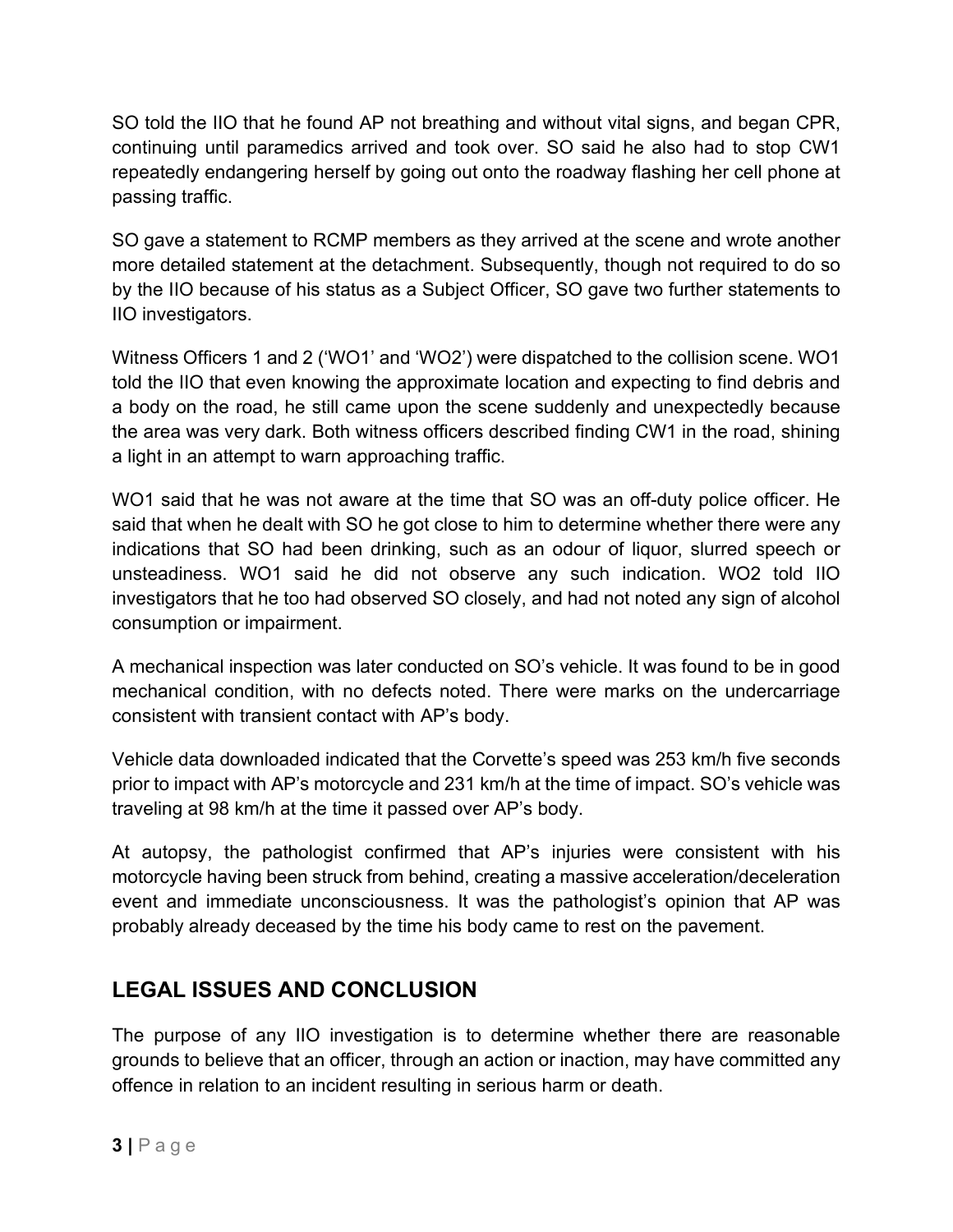SO told the IIO that he found AP not breathing and without vital signs, and began CPR, continuing until paramedics arrived and took over. SO said he also had to stop CW1 repeatedly endangering herself by going out onto the roadway flashing her cell phone at passing traffic.

SO gave a statement to RCMP members as they arrived at the scene and wrote another more detailed statement at the detachment. Subsequently, though not required to do so by the IIO because of his status as a Subject Officer, SO gave two further statements to IIO investigators.

Witness Officers 1 and 2 ('WO1' and 'WO2') were dispatched to the collision scene. WO1 told the IIO that even knowing the approximate location and expecting to find debris and a body on the road, he still came upon the scene suddenly and unexpectedly because the area was very dark. Both witness officers described finding CW1 in the road, shining a light in an attempt to warn approaching traffic.

WO1 said that he was not aware at the time that SO was an off-duty police officer. He said that when he dealt with SO he got close to him to determine whether there were any indications that SO had been drinking, such as an odour of liquor, slurred speech or unsteadiness. WO1 said he did not observe any such indication. WO2 told IIO investigators that he too had observed SO closely, and had not noted any sign of alcohol consumption or impairment.

A mechanical inspection was later conducted on SO's vehicle. It was found to be in good mechanical condition, with no defects noted. There were marks on the undercarriage consistent with transient contact with AP's body.

Vehicle data downloaded indicated that the Corvette's speed was 253 km/h five seconds prior to impact with AP's motorcycle and 231 km/h at the time of impact. SO's vehicle was traveling at 98 km/h at the time it passed over AP's body.

At autopsy, the pathologist confirmed that AP's injuries were consistent with his motorcycle having been struck from behind, creating a massive acceleration/deceleration event and immediate unconsciousness. It was the pathologist's opinion that AP was probably already deceased by the time his body came to rest on the pavement.

## **LEGAL ISSUES AND CONCLUSION**

The purpose of any IIO investigation is to determine whether there are reasonable grounds to believe that an officer, through an action or inaction, may have committed any offence in relation to an incident resulting in serious harm or death.